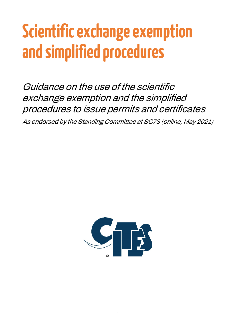# **Scientific exchange exemption and simplified procedures**

Guidance on the use of the scientific exchange exemption and the simplified procedures to issue permits and certificates

As endorsed by the Standing Committee at SC73 (online, May 2021)

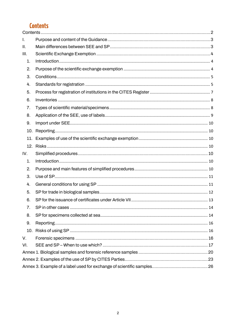# <span id="page-1-0"></span>**Contents**

| I.             |    |  |
|----------------|----|--|
| Ш.             |    |  |
| III.           |    |  |
| $\mathbf{1}$ . |    |  |
| 2.             |    |  |
| 3.             |    |  |
| 4.             |    |  |
| 5.             |    |  |
| 6.             |    |  |
| 7.             |    |  |
| 8.             |    |  |
| 9.             |    |  |
|                |    |  |
| 11.            |    |  |
|                |    |  |
| IV.            |    |  |
| 1.             |    |  |
| 2.             |    |  |
| 3.             |    |  |
| 4.             |    |  |
| 5.             |    |  |
| 6.             |    |  |
| 7 <sub>1</sub> | 14 |  |
| 8.             |    |  |
| 9.             |    |  |
|                |    |  |
| V.             |    |  |
| VI.            |    |  |
|                |    |  |
|                |    |  |
|                |    |  |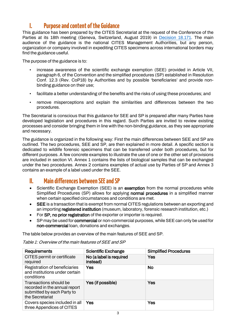# <span id="page-2-0"></span>**I. Purpose and content of the Guidance**

This guidance has been prepared by the CITES Secretariat at the request of the Conference of the Parties at its 18th meeting (Geneva, Switzerland, August 2019) in [Decision 18.171.](https://cites.org/eng/dec/valid17/82202) The main audience of the guidance is the national CITES Management Authorities, but any person, organization or company involved in expediting CITES specimens across international borders may find the guidance useful.

The purpose of the guidance is to:

- increase awareness of the scientific exchange exemption (SEE) provided in Article VII, paragraph 6, of the Convention and the simplified procedures (SP) established in Resolution Conf. 12.3 (Rev. CoP18) by Authorities and by possible 'beneficiaries' and provide nonbinding guidance on their use;
- facilitate a better understanding of the benefits and the risks of using these procedures; and
- remove misperceptions and explain the similarities and differences between the two procedures.

The Secretariat is conscious that this guidance for SEE and SP is prepared after many Parties have developed legislation and procedures in this regard. Such Parties are invited to review existing processes and consider bringing them in line with the non-binding guidance, as they see appropriate and necessary.

The guidance is organized in the following way: First the main differences between SEE and SP are outlined. The two procedures, SEE and SP, are then explained in more detail. A specific section is dedicated to wildlife forensic specimens that can be transferred under both procedures, but for different purposes. A few concrete examples to illustrate the use of one or the other set of provisions are included in section VI. Annex 1 contains the lists of biological samples that can be exchanged under the two procedures. Annex 2 contains examples of actual use by Parties of SP and Annex 3 contains an example of a label used under the SEE.

# <span id="page-2-1"></span>**II. Main differences between SEE and SP**

- Scientific Exchange Exemption (SEE) is an **exemption** from the normal procedures while Simplified Procedures (SP) allows for applying **normal procedures** in a simplified manner when certain specified circumstances and conditions are met.
- SEE is a transaction that is exempt from normal CITES regulations between an exporting and an importing registered institution (museum, laboratory, forensic research institution, etc.)
- For SP, no prior registration of the exporter or importer is required.
- SP may be used for **commercial** or non-commercial purposes, while SEE can only be used for non-commercial loan, donations and exchanges.

The table below provides an overview of the main features of SEE and SP.

Table 1: Overview of the main features of SEE and SP

| <b>Requirements</b>                                                                                      | <b>Scientific Exchange</b>          | <b>Simplified Procedures</b> |
|----------------------------------------------------------------------------------------------------------|-------------------------------------|------------------------------|
| CITES permit or certificate<br>required                                                                  | No (a label is required<br>instead) | Yes                          |
| Registration of beneficiaries<br>and institutions under certain<br>conditions                            | Yes                                 | <b>No</b>                    |
| Transactions should be<br>recorded in the annual report<br>submitted by each Party to<br>the Secretariat | Yes (if possible)                   | Yes                          |
| Covers species included in all<br>three Appendices of CITES                                              | Yes                                 | Yes                          |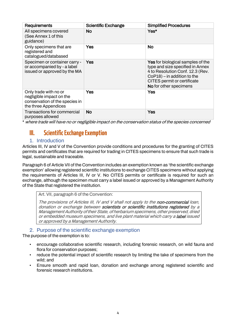| Requirements                                                                                                | <b>Scientific Exchange</b> | <b>Simplified Procedures</b>                                                                                                                                                                                |
|-------------------------------------------------------------------------------------------------------------|----------------------------|-------------------------------------------------------------------------------------------------------------------------------------------------------------------------------------------------------------|
| All specimens covered<br>(See Annex 1 of this<br>guidance)                                                  | No.                        | Yes*                                                                                                                                                                                                        |
| Only specimens that are<br>registered and<br>catalogued/databased                                           | Yes                        | <b>No</b>                                                                                                                                                                                                   |
| Specimen or container carry -<br>or accompanied by - a label<br>issued or approved by the MA                | Yes                        | <b>Yes</b> for biological samples of the<br>type and size specified in Annex<br>4 to Resolution Conf. 12.3 (Rev.<br>$CoP18$ ) – in addition to the<br>CITES permit or certificate<br>No for other specimens |
| Only trade with no or<br>negligible impact on the<br>conservation of the species in<br>the three Appendices | Yes                        | Yes                                                                                                                                                                                                         |
| Transactions for commercial<br>purposes allowed                                                             | <b>No</b>                  | Yes                                                                                                                                                                                                         |

\* where trade will have no or negligible impact on the conservation status of the species concerned

# <span id="page-3-0"></span>**III.** Scientific Exchange Exemption

## 1. Introduction

<span id="page-3-1"></span>Articles III, IV and V of the Convention provide conditions and procedures for the granting of CITES permits and certificates that are required for trading in CITES specimens to ensure that such trade is legal, sustainable and traceable.

Paragraph 6 of Article VII of the Convention includes an exemption known as 'the scientific exchange exemption' allowing registered scientific institutions to exchange CITES specimens without applying the requirements of Articles III, IV or V. No CITES permits or certificate is required for such an exchange, although the specimen must carry a label issued or approved by a Management Authority of the State that registered the institution.

Art. VII, paragraph 6 of the Convention:

The provisions of Articles III, IV and V shall not apply to the non-commercial loan, donation or exchange between scientists or scientific institutions registered by a Management Authority of their State, of herbarium specimens, other preserved, dried or embedded museum specimens, and live plant material which carry a label issued or approved by a Management Authority.

## 2. Purpose of the scientific exchange exemption

<span id="page-3-2"></span>The purpose of the exemption is to:

- encourage collaborative scientific research, including forensic research, on wild fauna and flora for conservation purposes;
- reduce the potential impact of scientific research by limiting the take of specimens from the wild; and
- Ensure smooth and rapid loan, donation and exchange among registered scientific and forensic research institutions.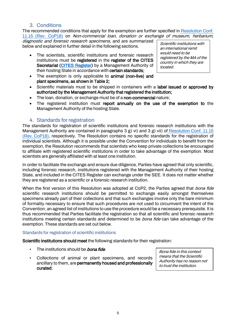## 3. Conditions

<span id="page-4-0"></span>The recommended conditions that apply for the exemption are further specified in [Resolution Conf.](https://cites.org/sites/default/files/document/E-Res-11-15-R18.pdf)  [11.15 \(Rev. CoP18\)](https://cites.org/sites/default/files/document/E-Res-11-15-R18.pdf) on Non-commercial loan, donation or exchange of museum, herbarium,

diagnostic and forensic research specimens, and are summarized below and explained in further detail in the following sections.

- The scientists, scientific institutions and forensic research institutions must be registered in the register of the CITES Secretariat [\(CITES Register\)](https://cites.org/eng/common/reg/e_si.html) by a Management Authority of their hosting State in accordance with certain standards;
- The exemption is only applicable to animal (non-live) and plant specimens, as shown in Table 2;

Scientific institutions with an international remit would need to be registered by the MA of the country in which they are located.

- Scientific materials must to be shipped in containers with a label issued or approved by authorized by the Management Authority that registered the institution;
- The loan, donation, or exchange must be of a non-commercial nature;
- The registered institution must report annually on the use of the exemption to the Management Authority of the hosting State.

## 4. Standards for registration

<span id="page-4-1"></span>The standards for registration of scientific institutions and forensic research institutions with the Management Authority are contained in paragraphs 3 g) vi) and 3 g) vii) of Resolution Conf. 11.15 (Rev. [CoP18\),](https://cites.org/sites/default/files/document/E-Res-11-15-R18.pdf) respectively. The Resolution contains no specific standards for the registration of individual scientists. Although it is possible under the Convention for individuals to benefit from the exemption, the Resolution recommends that scientists who keep private collections be encouraged to affiliate with registered scientific institutions in order to take advantage of the exemption. Most scientists are generally affiliated with at least one institution.

In order to facilitate the exchange and ensure due diligence, Parties have agreed that only scientific, including forensic research, institutions registered with the Management Authority of their hosting State, and included in the CITES Register can exchange under the SEE. It does not matter whether they are registered as a scientific or a forensic research institution.

When the first version of this Resolution was adopted at CoP2, the Parties agreed that *bona fide* scientific research institutions should be permitted to exchange easily amongst themselves specimens already part of their collections and that such exchanges involve only the bare minimum of formality necessary to ensure that such procedures are not used to circumvent the intent of the Convention; an agreed list of institutions to use the procedure would be a necessary prerequisite. It is thus recommended that Parties facilitate the registration so that all scientific and forensic research institutions meeting certain standards and determined to be *bona fide* can take advantage of the exemption. These standards are set out below.

#### Standards for registration of scientific institutions

Scientific institutions should meet the following standards for their registration:

- The institutions should be **bona fide**
- Collections of animal or plant specimens, and records ancillary to them, are permanently housed and professionally curated;

Bona fide in this context means that the Scientific Authority has no reason not to trust the institution.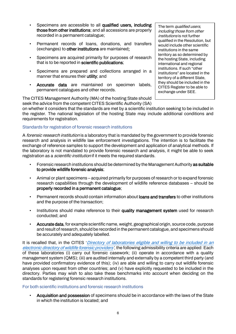- Specimens are accessible to all qualified users, including those from other institutions; and all accessions are properly recorded in a permanent catalogue;
- Permanent records of loans, donations, and transfers (exchanges) to other institutions are maintained;
- Specimens are acquired primarily for purposes of research that is to be reported in scientific publications;
- Specimens are prepared and collections arranged in a manner that ensures their utility; and
- Accurate data are maintained on specimen labels. permanent catalogues and other records.

The CITES Management Authority (MA) of the hosting State should seek the advice from the competent CITES Scientific Authority (SA)

The term qualified users, including those from other institutions is not further qualified in the Resolution, but would include other scientific institutions in the same territory as so determined by the hosting State, including international and regional institutions. If such "other institutions" are located in the territory of a different State, they should be included in the CITES Register to be able to exchange under SEE.

on whether it considers that the standards are met by a scientific institution seeking to be included in the register. The national legislation of the hosting State may include additional conditions and requirements for registration.

#### Standards for registration of forensic research institutions

A forensic research institution is a laboratory that is mandated by the government to provide forensic research and analysis in wildlife law enforcement investigations. The intention is to facilitate the exchange of reference samples to support the development and application of analytical methods. If the laboratory is not mandated to provide forensic research and analysis, it might be able to seek registration as a *scientific institution* if it meets the required standards.

- Forensic research institutions should be determined by the Management Authority as suitable to provide wildlife forensic analysis;
- Animal or plant specimens acquired primarily for purposes of research or to expand forensic research capabilities through the development of wildlife reference databases – should be properly recorded in a permanent catalogue;
- Permanent records should contain information about **loans and transfers** to other institutions and the purpose of the transaction;
- Institutions should make reference to their quality management system used for research conducted; and
- Accurate data, for example scientific name, weight, geographical origin, source code, purpose and result of research, should be recorded in the permanent catalogue, and specimens should be accurately and adequately labelled.

It is recalled that, in the CITES 'Directory of laboratories eligible and willing to be included in an [electronic directory of wildlife forensic providers'](https://cites.org/sites/default/files/eng/prog/enforcement/Directory%20of%20laboratories%20eligible%20and%20willing%20to%20be%20included%20in%20an%20electronic%20directory%20of%20wildlife%20forensic%20providers_March%202019.pdf), the following admissibility criteria are applied: Each of these laboratories (i) carry out forensic casework; (ii) operate in accordance with a quality management system (QMS); (iii) are audited internally and externally by a competent third party (and have provided confirmatory evidence of this); (iv) are able and willing to carry out wildlife forensic analyses upon request from other countries; and (v) have explicitly requested to be included in the directory. Parties may wish to also take these benchmarks into account when deciding on the standards for registering forensic research institutions.

#### For both scientific institutions and forensic research institutions

• Acquisition and possession of specimens should be in accordance with the laws of the State in which the institution is located; and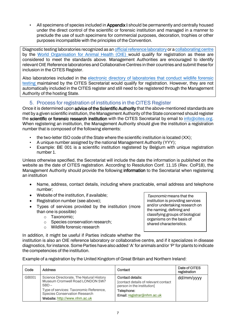• All specimens of species included in **Appendix I** should be permanently and centrally housed under the direct control of the scientific or forensic institution and managed in a manner to preclude the use of such specimens for commercial purposes, decoration, trophies or other purposes incompatible with the principles of the Convention.

Diagnostic testing laboratories recognized as a[n official reference laboratory](https://www.oie.int/scientific-expertise/reference-laboratories/list-of-laboratories/) or [a collaborating centre](https://www.oie.int/scientific-expertise/collaborating-centres/list-of-centres/) by the [World Organisation for Animal Health \(OIE\)](https://www.oie.int/) would qualify for registration as these are [considered to meet the standards above. Management Authorities are encouraged to identify](https://www.oie.int/)  [relevant OIE Reference laboratories and Collaborative Centres in their countries and submit these for](https://www.oie.int/)  [inclusion in the CITES Register.](https://www.oie.int/) 

Also laboratories included in the [electronic directory of laboratories that conduct wildlife forensic](https://cites.org/sites/default/files/eng/prog/enforcement/Directory%20of%20laboratories%20eligible%20and%20willing%20to%20be%20included%20in%20an%20electronic%20directory%20of%20wildlife%20forensic%20providers_March%202019.pdf)  [testing m](https://cites.org/sites/default/files/eng/prog/enforcement/Directory%20of%20laboratories%20eligible%20and%20willing%20to%20be%20included%20in%20an%20electronic%20directory%20of%20wildlife%20forensic%20providers_March%202019.pdf)aintained by the CITES Secretariat would qualify for registration. However, they are not automatically included in the CITES register and still need to be registered through the Management Authority of the hosting State.

## 5. Process for registration of institutions in the CITES Register

<span id="page-6-0"></span>Once it is determined upon advice of the Scientific Authority that the above-mentioned standards are met by a given scientific institution, the Management Authority of the State concerned should register the scientific or forensic research institution with the CITES Secretariat by email to [info@cites.org.](mailto:info@cites.org) When registering an institution, the Management Authority should give the institution a registration number that is composed of the following elements:

- the two-letter ISO code of the State where the scientific institution is located (XX):
- A unique number assigned by the national Management Authority (YYY);<br>• Example: BE 001 is a scientific institution registered by Belgium with
- Example: BE 001 is a scientific institution registered by Belgium with unique registration number 1.

Unless otherwise specified, the Secretariat will include the date the information is published on the website as the date of CITES registration. According to Resolution Conf. 11.15 (Rev. CoP18), the Management Authority should provide the following information to the Secretariat when registering an institution

- Name, address, contact details, including where practicable, email address and telephone number;
- Website of the institution, if available;
- Registration number (see above);
- Types of services provided by the institution (more than one is possible)
	- o Taxonomic;
	- o Species conservation research;
	- o Wildlife forensic research

Taxonomic means that the institution is providing services and/or undertaking research on the naming, defining and classifying groups of biological organisms on the basis of shared characteristics.

In addition, it might be useful if Parties indicate whether the

institution is also an OIE reference laboratory or collaborative centre, and if it specializes in disease diagnostics, for instance. Some Parties have also added 'A' for animals and/or 'P' for plants to indicate the competencies of the institution.

Example of a registration by the United Kingdom of Great Britain and Northern Ireland:

| Code  | <b>Address</b>                                                                                                                                                                                     | Contact                                                                                                                                   | Date of CITES<br>registration |
|-------|----------------------------------------------------------------------------------------------------------------------------------------------------------------------------------------------------|-------------------------------------------------------------------------------------------------------------------------------------------|-------------------------------|
| GB001 | Science Directorate, The Natural History<br>Museum Cromwell Road LONDON SW7<br>$5BD -$<br>Type of services: Taxonomic Reference,<br>Species Conservation Research<br>Website: http://www.nhm.ac.uk | <b>Contact details:</b><br>[contact details of relevant contact<br>person in the institution]<br>Telephone:<br>Email: registrar@nhm.ac.uk | dd/mm/yyyy                    |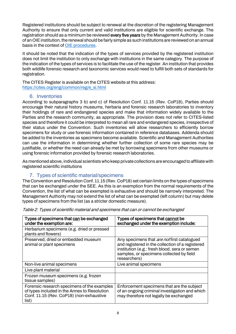Registered institutions should be subject to renewal at the discretion of the registering Management Authority to ensure that only current and valid institutions are eligible for scientific exchange. The registration should as a minimum be reviewed every five years by the Management Authority. In case of an OIE institution, the renewal should be fairly simple as such institutions are reviewed on an annual basis in the context of [OIE procedures.](https://www.oie.int/scientific-expertise/reference-laboratories/sops/)

It should be noted that the indication of the types of services provided by the registered institution does not limit the institution to only exchange with institutions in the same category. The purpose of the indication of the types of services is to facilitate the use of the register. An institution that provides both wildlife forensic research and taxonomic services would need to fulfill both sets of standards for registration.

The CITES Register is available on the CITES website at this address: [https://cites.org/eng/common/reg/e\\_si.html](https://cites.org/eng/common/reg/e_si.html) 

## 6. Inventories

<span id="page-7-0"></span>According to subparagraphs 3 b) and c) of Resolution Conf. 11.15 (Rev. CoP18), Parties should encourage their natural history museums, herbaria and forensic research laboratories to inventory their holdings of rare and endangered species and make that information widely available to the Parties and the research community, as appropriate. The provision does not refer to CITES-listed species and therefore it could be interpreted to mean all rare and endangered species, irrespective of their status under the Convention. Such inventories will allow researchers to efficiently borrow specimens for study or use forensic information contained in reference databases. Addenda should be added to the inventories as specimens become available. Scientific and Management Authorities can use the information in determining whether further collection of some rare species may be justifiable, or whether the need can already be met by borrowing specimens from other museums or using forensic information provided by forensic research laboratories.

As mentioned above, individual scientists who keep private collections are encouraged to affiliate with registered scientific institutions

## 7. Types of scientific material/specimens

<span id="page-7-1"></span>The Convention and Resolution Conf. 11.15 (Rev. CoP18) set certain limits on the types of specimens that can be exchanged under the SEE. As this is an exemption from the normal requirements of the Convention, the list of what can be exempted is exhaustive and should be narrowly interpreted. The Management Authority may not extend the list of what can be exempted (left column) but may delete types of specimens from the list (as a stricter domestic measure).

| Types of specimens that can be exchanged<br>under the exemption are:                                                                             | Types of specimens that cannot be<br>exchanged under the exemption include:                                                                                                                                  |
|--------------------------------------------------------------------------------------------------------------------------------------------------|--------------------------------------------------------------------------------------------------------------------------------------------------------------------------------------------------------------|
| Herbarium specimens (e.g. dried or pressed<br>plants and flowers)                                                                                |                                                                                                                                                                                                              |
| Preserved, dried or embedded museum<br>animal or plant specimens                                                                                 | Any specimens that are not first catalogued<br>and registered in the collection of a registered<br>institution (e.g.: fresh blood, sera or semen<br>samples, or specimens collected by field<br>researchers) |
| Non-live animal specimens                                                                                                                        | Live animal specimens                                                                                                                                                                                        |
| Live plant material                                                                                                                              |                                                                                                                                                                                                              |
| Frozen museum specimens (e.g. frozen<br>tissue samples)                                                                                          |                                                                                                                                                                                                              |
| Forensic research specimens of the examples<br>of types included in the Annex to Resolution<br>Conf. 11.15 (Rev. CoP18) (non-exhaustive<br>list) | Enforcement specimens that are the subject<br>of an ongoing criminal investigation and which<br>may therefore not legally be exchanged                                                                       |

Table 2: Types of scientific material and specimens that can or cannot be exchanged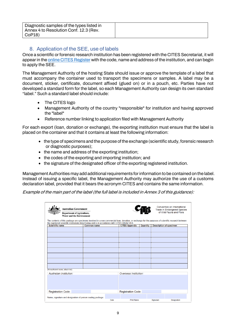| Diagnostic samples of the types listed in<br>Annex 4 to Resolution Conf. 12.3 (Rev.<br>CoP18) |  |
|-----------------------------------------------------------------------------------------------|--|
|                                                                                               |  |

## 8. Application of the SEE, use of labels

<span id="page-8-0"></span>Once a scientific or forensic research institution has been registered with the CITES Secretariat, it will appear in the [online CITES Register](https://cites.org/eng/common/reg/e_si.html) with the code, name and address of the institution, and can begin to apply the SEE.

The Management Authority of the hosting State should issue or approve the template of a label that must accompany the container used to transport the specimens or samples. A label may be a document, sticker, certificate, document affixed (glued on) or in a pouch, etc. Parties have not developed a standard form for the label, so each Management Authority can design its own standard "label." Such a standard label should include:

- The CITES logo
- Management Authority of the country "responsible" for institution and having approved the "label"
- Reference number linking to application filed with Management Authority

For each export (loan, donation or exchange), the exporting institution must ensure that the label is placed on the container and that it contains at least the following information:

- the type of specimens and the purpose of the exchange (scientific study, forensic research or diagnostic purposes);
- the name and address of the exporting institution;
- the codes of the exporting and importing institution; and
- the signature of the designated officer of the exporting registered institution.

Management Authorities may add additional requirements for information to be contained on the label. Instead of issuing a specific label, the Management Authority may authorize the use of a customs declaration label, provided that it bears the acronym CITES and contains the same information.

Example of the main part of the label (the full label is included in Annex 3 of this guidance):

| <b>Australian Government</b><br><b>Department of Agriculture,</b><br><b>Water and the Environment</b>                                                                                                                                                     |                    |  |                           |          |           | Convention on International<br><b>Trade in Endangered Species</b><br>of Wild Fauna and Flora |  |
|-----------------------------------------------------------------------------------------------------------------------------------------------------------------------------------------------------------------------------------------------------------|--------------------|--|---------------------------|----------|-----------|----------------------------------------------------------------------------------------------|--|
| The contents of this package are specimens involved in a non-commercial loan, donation, or exchange for the purposes of scientific research between<br>the registered scientific institutions listed below and is in accordance with CITES Article VII.6. |                    |  |                           |          |           |                                                                                              |  |
| <b>Scientific name</b>                                                                                                                                                                                                                                    | <b>Common name</b> |  | <b>CITES Appendix</b>     | Quantity |           | <b>Description of specimen</b>                                                               |  |
|                                                                                                                                                                                                                                                           |                    |  |                           |          |           |                                                                                              |  |
|                                                                                                                                                                                                                                                           |                    |  |                           |          |           |                                                                                              |  |
|                                                                                                                                                                                                                                                           |                    |  |                           |          |           |                                                                                              |  |
|                                                                                                                                                                                                                                                           |                    |  |                           |          |           |                                                                                              |  |
|                                                                                                                                                                                                                                                           |                    |  |                           |          |           |                                                                                              |  |
|                                                                                                                                                                                                                                                           |                    |  |                           |          |           |                                                                                              |  |
|                                                                                                                                                                                                                                                           |                    |  |                           |          |           |                                                                                              |  |
|                                                                                                                                                                                                                                                           |                    |  |                           |          |           |                                                                                              |  |
|                                                                                                                                                                                                                                                           |                    |  |                           |          |           |                                                                                              |  |
| (If insufficient room, attach list)                                                                                                                                                                                                                       |                    |  |                           |          |           |                                                                                              |  |
| Australian Institution:                                                                                                                                                                                                                                   |                    |  | Overseas Institution:     |          |           |                                                                                              |  |
|                                                                                                                                                                                                                                                           |                    |  |                           |          |           |                                                                                              |  |
| <b>Registration Code:</b>                                                                                                                                                                                                                                 |                    |  | <b>Registration Code:</b> |          |           |                                                                                              |  |
| Name, signature and designation of person sealing package:                                                                                                                                                                                                |                    |  |                           |          |           |                                                                                              |  |
| Date                                                                                                                                                                                                                                                      |                    |  | <b>Print Name</b>         |          | Signature | Designation                                                                                  |  |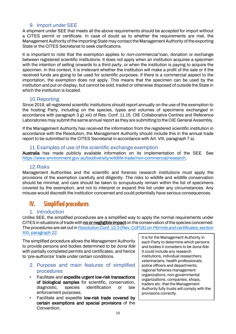## 9. Import under SEE

<span id="page-9-0"></span>A shipment under SEE that meets all the above requirements should be accepted for import without a CITES permit or certificate. In case of doubt as to whether the requirements are met, the Management Authority of the importing State may contact the Management Authority of the exporting State or the CITES Secretariat to seek clarifications.

It is important to note that the exemption applies to *non-commercial* loan, donation or exchange between registered scientific institutions. It does not apply when an institution acquires a specimen with the intention of selling onwards to a third party, or when the institution is paying to acquire the specimen. In this context, it is irrelevant whether the institution will make a profit of the sale or if the received funds are going to be used for scientific purposes. If there is a commercial aspect to the importation, the exemption does not apply. This means that the specimen can be used by the institution and put on display, but cannot be sold, traded or otherwise disposed of outside the State in which the institution is located.

## 10.Reporting

<span id="page-9-1"></span>Since 2019, all registered scientific institutions should report annually on the use of the exemption to the hosting Party, including on the species, types and volumes of specimens exchanged in accordance with paragraph 3 g) xiii) of Res. Conf. 11.15. OIE Collaborative Centres and Reference Laboratories may submit the same annual report as they are submitting to the OIE General Assembly.

If the Management Authority has received the information from the registered scientific institution in accordance with the Resolution, the Management Authority should include this in the annual trade report to be submitted to the CITES Secretariat in accordance with Art. VIII, paragraph 7 a).

#### 11.Examples of use of the scientific exchange exemption

<span id="page-9-2"></span>Australia has made publicly available information on its implementation of the SEE. See [https://www.environment.gov.au/biodiversity/wildlife-trade/non-commercial/research.](https://www.environment.gov.au/biodiversity/wildlife-trade/non-commercial/research)

## 12.Risks

<span id="page-9-3"></span>Management Authorities and the scientific and forensic research institutions must apply the provisions of the exemption carefully and diligently. The risks to wildlife and wildlife conservation should be minimal, and care should be taken to scrupulously remain within the list of specimens covered by the exemption, and not to interpret or expand this list under any circumstances. Any misuse would discredit the institution concerned and could potentially have serious consequences.

# <span id="page-9-4"></span>**IV. Simplified procedures**

## 1. Introduction

<span id="page-9-5"></span>Unlike SEE, the simplified procedures are a simplified way to apply the normal requirements under CITES in situations of trade with no or negligible impact on the conservation of the species concerned. The procedures are set out i[n Resolution Conf. 12.3 \(Rev. CoP18\)](https://cites.org/sites/default/files/document/E-Res-12-03-R18.pdf) on *Permits and certificates*, section [XIII, paragraph 22.](https://cites.org/sites/default/files/document/E-Res-12-03-R18.pdf)

The simplified procedure allows the Management Authority to provide persons and bodies determined to be *bona fide* with partially completed permits and certificates, and hence to 'pre-authorize' trade under certain conditions.

- <span id="page-9-6"></span>2. Purpose and main features of simplified procedures
- Facilitate and expedite urgent low-risk transactions of biological samples for scientific, conservation, diagnostic, species identification or law enforcement purposes;
- Facilitate and expedite low-risk trade covered by certain exemptions and special provisions of the Convention;

It is for the Management Authority in each Party to determine which persons and bodies it considers to be *bona fide*. It could include any research institutions, individual researchers, veterinarians, health professionals, police officers and departments, regional fisheries management organizations, non-governmental organizations, companies, shops, traders etc. that the Management Authority fully trusts will comply with the provisions correctly.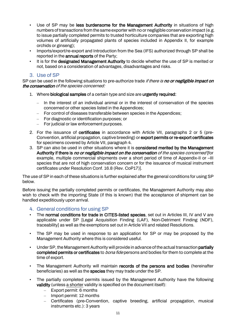- Use of SP may be less burdensome for the Management Authority in situations of high numbers of transactions from the same exporter with no or negligible conservation impact (e.g. to issue partially completed permits to trusted horticulture companies that are exporting high volumes of artificially propagated plants of species included in Appendix II, for example orchids or ginseng);
- Imports/export/re-export and Introduction from the Sea (IFS) authorized through SP shall be reported in the annual reports of the Party;
- It is for the designated Management Authority to decide whether the use of SP is merited or not, based on a consideration of advantages, disadvantages and risks.

## 3. Use of SP

<span id="page-10-0"></span>SP can be used in the following situations to pre-authorize trade *if there is no or negligible impact on* the conservation of the species concerned:

- 1. Where biological samples of a certain type and size are urgently required:
	- In the interest of an individual animal or in the interest of conservation of the species concerned or other species listed in the Appendices;
	- For control of diseases transferable between species in the Appendices;
	- For diagnostic or identification purposes; or
	- For judicial or law enforcement purposes.
- 2. For the issuance of certificates in accordance with Article VII, paragraphs 2 or 5 (pre-Convention, artificial propagation, captive breeding) or export permits or re-export certificates for specimens covered by Article VII, paragraph 4.
- 3. SP can also be used in other situations where it is considered merited by the Management Authority if there is no or negligible impact on the conservation of the species concerned [for example, multiple commercial shipments over a short period of time of Appendix-II or –III species that are not of high conservation concern or for the issuance of musical instrument certificates under Resolution Conf. 16.8 (Rev. CoP17)].

The use of SP in each of these situations is further explained after the general conditions for using SP below.

Before issuing the partially completed permits or certificates, the Management Authority may also wish to check with the importing State (if this is known) that the acceptance of shipment can be handled expeditiously upon arrival.

## <span id="page-10-1"></span>4. General conditions for using SP

- The normal conditions for trade in CITES-listed species, set out in Articles III, IV and V are applicable under SP [Legal Acquisition Finding (LAF), Non-Detriment Finding (NDF), traceability] as well as the exemptions set out in Article VII and related Resolutions.
- The SP may be used in response to an application for SP or may be proposed by the Management Authority where this is considered useful.
- Under SP, the Management Authority will provide in advance of the actual transaction partially completed permits or certificates to *bona fide* persons and bodies for them to complete at the time of export.
- The Management Authority will maintain records of the persons and bodies (hereinafter beneficiaries) as well as the species they may trade under the SP.
- The partially completed permits issued by the Management Authority have the following validity (unless a shorter validity is specified on the document itself):
	- Export permit: 6 months
	- Import permit: 12 months
	- Certificates (pre-Convention, captive breeding, artificial propagation, musical instruments etc.): 3 years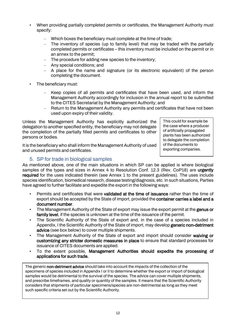- When providing partially completed permits or certificates, the Management Authority must specify:
	- Which boxes the beneficiary must complete at the time of trade;
	- The inventory of species (up to family level) that may be traded with the partially completed permits or certificates – this inventory must be included on the permit or in an annex to the permit;
	- The procedure for adding new species to the inventory;
	- Any special conditions; and
	- A place for the name and signature (or its electronic equivalent) of the person completing the document.
- The beneficiary must:
	- Keep copies of all permits and certificates that have been used, and inform the Management Authority accordingly for inclusion in the annual report to be submitted to the CITES Secretariat by the Management Authority; and
	- Return to the Management Authority any permits and certificates that have not been used upon expiry of their validity.

Unless the Management Authority has explicitly authorized the delegation to another specified entity, the beneficiary may not delegate the completion of the partially filled permits and certificates to other persons or bodies.

It is the beneficiary who shall inform the Management Authority of used and unused permits and certificates.

This could for example be the case where a producer of artificially propagated plants has been authorized to delegate the completion of the documents to exporting companies.

## 5. SP for trade in biological samples

<span id="page-11-0"></span>As mentioned above, one of the main situations in which SP can be applied is where biological samples of the types and sizes in Annex 4 to Resolution Conf. 12.3 (Rev. CoP18) are urgently required for the uses indicated therein (see Annex 1 to the present guidelines). The uses include species identification, biomedical research, disease testing/diagnosis, etc. In such situations, Parties have agreed to further facilitate and expedite the export in the following ways:

- Permits and certificates that were validated at the time of issuance rather than the time of export should be accepted by the State of import, provided the **container carries a label and a** document number.
- The Management Authority of the State of export may issue the export permit at the **genus or** family level, if the species is unknown at the time of the issuance of the permit.
- The Scientific Authority of the State of export and, in the case of a species included in Appendix, I the Scientific Authority of the State of import, may develop generic non-detriment advice (see box below) to cover multiple shipments.
- The Management Authority of the State of export and import should consider waiving or customizing any stricter domestic measures in place to ensure that standard processes for issuance of CITES documents are applied.
- To the extent possible, Management Authorities should expedite the processing of applications for such trade.

The generic non-detriment advice should take into account the impacts of the collection of the specimens of species included in Appendix I or II to determine whether the export or import of biological samples would be detrimental to the survival of the species. The advice can cover multiple shipments, and prescribe timeframes, and quality or quantity of the samples. It means that the Scientific Authority considers that shipments of particular specimens/species are non-detrimental as long as they meet such specific criteria set out by the Scientific Authority.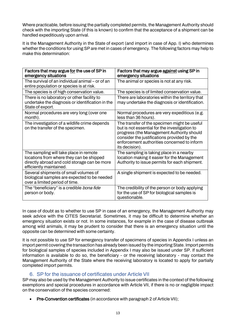Where practicable, before issuing the partially completed permits, the Management Authority should check with the importing State (if this is known) to confirm that the acceptance of a shipment can be handled expeditiously upon arrival.

It is the Management Authority in the State of export (and import in case of App. I) who determines whether the conditions for using SP are met in cases of emergency. The following factors may help to make this determination:

| Factors that may argue for the use of SP in<br>emergency situations                                                                                           | Factors that may argue against using SP in<br>emergency situations                                                                                                                                                                                         |
|---------------------------------------------------------------------------------------------------------------------------------------------------------------|------------------------------------------------------------------------------------------------------------------------------------------------------------------------------------------------------------------------------------------------------------|
| The survival of an individual animal – or of an<br>entire population or species is at risk.                                                                   | The animal or species is not at any risk.                                                                                                                                                                                                                  |
| The species is of high conservation value.                                                                                                                    | The species is of limited conservation value.                                                                                                                                                                                                              |
| There is no laboratory or other facility to<br>undertake the diagnosis or identification in the<br>State of export.                                           | There are laboratories within the territory that<br>may undertake the diagnosis or identification.                                                                                                                                                         |
| Normal procedures are very long (over one<br>month).                                                                                                          | Normal procedures are very expeditious (e.g.<br>less than 36 hours).                                                                                                                                                                                       |
| The investigation of a wildlife crime depends<br>on the transfer of the specimen.                                                                             | The transfer of the specimen might be useful<br>but is not essential for the investigation to<br>progress (the Management Authority should<br>consider the justifications provided by the<br>enforcement authorities concerned to inform<br>its decision). |
| The sampling will take place in remote<br>locations from where they can be shipped<br>directly abroad and cold storage can be more<br>efficiently maintained. | The sampling is taking place in a nearby<br>location making it easier for the Management<br>Authority to issue permits for each shipment.                                                                                                                  |
| Several shipments of small volumes of<br>biological samples are expected to be needed<br>over a limited period of time.                                       | A single shipment is expected to be needed.                                                                                                                                                                                                                |
| The "beneficiary" is a credible <i>bona fide</i><br>person or body.                                                                                           | The credibility of the person or body applying<br>for the use of SP for biological samples is<br>questionable.                                                                                                                                             |

In case of doubt as to whether to use SP in case of an emergency, the Management Authority may seek advice with the CITES Secretariat. Sometimes, it may be difficult to determine whether an emergency situation exists or not. In some instances, for example in the case of disease outbreak among wild animals, it may be prudent to consider that there is an emergency situation until the opposite can be determined with some certainty.

It is not possible to use SP for emergency transfer of specimens of species in Appendix I unless an import permit covering the transaction has already been issued by the importing State. Import permits for biological samples of species included in Appendix I may also be issued under SP. If sufficient information is available to do so, the beneficiary - or the receiving laboratory - may contact the Management Authority of the State where the receiving laboratory is located to apply for partially completed import permits.

## 6. SP for the issuance of certificates under Article VII

<span id="page-12-0"></span>SP may also be used by the Management Authority to issue certificates in the context of the following exemptions and special procedures in accordance with Article VII, if there is no or negligible impact on the conservation of the species concerned:

• Pre-Convention certificates (in accordance with paragraph 2 of Article VII);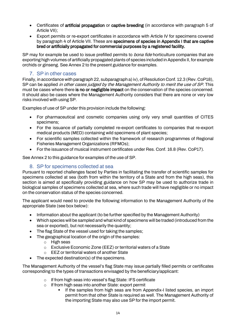- Certificates of artificial propagation or captive breeding (in accordance with paragraph 5 of Article VII);
- Export permits or re-export certificates in accordance with Article IV for specimens covered by paragraph 4 of Article VII. These are specimens of species in Appendix I that are captive bred or artificially propagated for commercial purposes by a registered facility.

SP may for example be used to issue prefilled permits to *bona fide* horticulture companies that are exporting high volumes of artificially propagated plants of species included in Appendix II, for example orchids or ginseng. See Annex 2 to the present guidance for examples.

## 7. SP in other cases

<span id="page-13-0"></span>Finally, in accordance with paragraph 22, subparagraph a) iv), of Resolution Conf. 12.3 (Rev. CoP18), SP can be applied *in other cases judged by the Management Authority to merit the use of SP*. This must be cases where there is no or negligible impact on the conservation of the species concerned. It should also be cases where the Management Authority considers that there are none or very low risks involved with using SP.

Examples of use of SP under this provision include the following:

- For pharmaceutical and cosmetic companies using only very small quantities of CITES specimens;
- For the issuance of partially completed re-export certificates to companies that re-export medical products (MED) containing wild specimens of plant species;
- For scientific samples collected within the framework of research programmes of Regional Fisheries Management Organizations (RFMOs);
- For the issuance of musical instrument certificates under Res. Conf. 16.8 (Rev. CoP17).

See Annex 2 to this guidance for examples of the use of SP.

## 8. SP for specimens collected at sea

<span id="page-13-1"></span>Pursuant to reported challenges faced by Parties in facilitating the transfer of scientific samples for specimens collected at sea (both from within the territory of a State and from the high seas), this section is aimed at specifically providing guidance on how SP may be used to authorize trade in biological samples of specimens collected at sea, where such trade will have negligible or no impact on the conservation status of the species concerned.

The applicant would need to provide the following information to the Management Authority of the appropriate State (see box below):

- Information about the applicant (to be further specified by the Management Authority)
- Which species will be sampled and what kind of specimens will be traded (introduced from the sea or exported), but not necessarily the quantity;
- The flag State of the vessel used for taking the samples;
- The geographical location of the origin of the samples:
	- o High seas
	- o Exclusive Economic Zone (EEZ) or territorial waters of a State
	- o EEZ or territorial waters of another State
- The expected destination(s) of the specimens.

The Management Authority of the vessel's flag State may issue partially filled permits or certificates corresponding to the types of transactions envisaged by the beneficiary/applicant:

- o If from high seas into vessel's flag State: IFS certificate
- o If from high seas into another State: export permit
	- If the samples from high seas are from Appendix-I listed species, an import permit from that other State is required as well. The Management Authority of the importing State may also use SP for the import permit.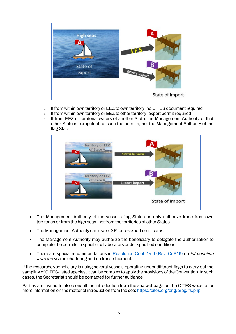

- o If from within own territory or EEZ to own territory: no CITES document required
- o If from within own territory or EEZ to other territory: export permit required
- $\circ$  If from EEZ or territorial waters of another State, the Management Authority of that other State is competent to issue the permits; not the Management Authority of the flag State



- The Management Authority of the vessel's flag State can only authorize trade from own territories or from the high seas; not from the territories of other States.
- The Management Authority can use of SP for re-export certificates.
- The Management Authority may authorize the beneficiary to delegate the authorization to complete the permits to specific collaborators under specified conditions.
- There are special recommendations in [Resolution Conf. 14.6 \(Rev. CoP16\)](https://cites.org/sites/default/files/document/E-Res-14-06-R16.pdf) on Introduction from the sea on chartering and on trans-shipment.

If the researcher/beneficiary is using several vessels operating under different flags to carry out the sampling of CITES-listed species, it can be complex to apply the provisions of the Convention. In such cases, the Secretariat should be contacted for further guidance.

Parties are invited to also consult the introduction from the sea webpage on the CITES website for more information on the matter of introduction from the sea[: https://cites.org/eng/prog/ifs.php](https://cites.org/eng/prog/ifs.php)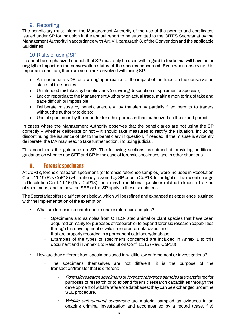## 9. Reporting

<span id="page-15-0"></span>The beneficiary must inform the Management Authority of the use of the permits and certificates issued under SP for inclusion in the annual report to be submitted to the CITES Secretariat by the Management Authority in accordance with Art. VII, paragraph 6, of the Convention and the applicable Guidelines.

## 10.Risks of using SP

<span id="page-15-1"></span>It cannot be emphasized enough that SP must only be used with regard to trade that will have no or negligible impact on the conservation status of the species concerned. Even when observing this important condition, there are some risks involved with using SP:

- An inadequate NDF, or a wrong appreciation of the impact of the trade on the conservation status of the species;
- Unintended mistakes by beneficiaries (i.e. wrong description of specimen or species);
- Lack of reporting to the Management Authority on actual trade, making monitoring of take and trade difficult or impossible;
- Deliberate misuse by beneficiaries, e.g. by transferring partially filled permits to traders without the authority to do so;
- Use of specimens by the importer for other purposes than authorized on the export permit.

In cases where the Management Authority observes that the beneficiaries are not using the SP correctly – whether deliberate or not – it should take measures to rectify the situation, including discontinuing the issuance of SP to the beneficiary in question, if needed. If the misuse is evidently deliberate, the MA may need to take further action, including judicial.

This concludes the guidance on SP. The following sections are aimed at providing additional guidance on when to use SEE and SP in the case of forensic specimens and in other situations.

## <span id="page-15-2"></span>**V. Forensic specimens**

At CoP18, forensic research specimens (or forensic reference samples) were included in Resolution Conf. 11.15 (Rev CoP18) while already covered by SP prior to CoP18. In the light of this recent change to Resolution Conf. 11.15 (Rev. CoP18), there may be additional questions related to trade in this kind of specimens, and on how the SEE or the SP apply to these specimens.

The Secretariat offers clarifications below, which will be refined and expanded as experience is gained with the implementation of the exemption.

- What are forensic research specimens or reference samples?
	- Specimens and samples from CITES-listed animal or plant species that have been acquired primarily for purposes of research or to expand forensic research capabilities through the development of wildlife reference databases; and
	- that are properly recorded in a permanent catalogue/database.
	- Examples of the types of specimens concerned are included in Annex 1 to this document and in Annex 1 to Resolution Conf. 11.15 (Rev. CoP18).
- How are they different from specimens used in wildlife law enforcement or investigations?
	- The specimens themselves are not different; it is the purpose of the transaction/transfer that is different:
		- Forensic research specimens or forensic reference samples are transferred for purposes of research or to expand forensic research capabilities through the development of wildlife reference databases; they can be exchanged under the SEE procedure.
		- Wildlife enforcement specimens are material sampled as evidence in an ongoing criminal investigation and accompanied by a record (case, file)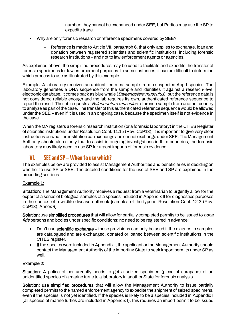number; they cannot be exchanged under SEE, but Parties may use the SP to expedite trade.

- Why are only forensic research or reference specimens covered by SEE?
	- Reference is made to Article VII, paragraph 6, that only applies to exchange, loan and donation between registered scientists and scientific institutions, including forensic research institutions – and not to law enforcement agents or agencies.

As explained above, the simplified procedures may be used to facilitate and expedite the transfer of forensic specimens for law enforcement purposes. In some instances, it can be difficult to determine which process to use as illustrated by this example.

Example: A laboratory receives an unidentified meat sample from a suspected App I-species. The laboratory generates a DNA sequence from the sample and identifies it against a research-level electronic database. It comes back as blue whale (*Balaenoptera musculus*), but the reference data is not considered reliable enough and the lab requires its own, authenticated reference sequence to report the result. The lab requests a *Balaenoptera musculus* reference sample from another country to analyze as part of the case. The transfer of this authenticated reference sequence would be allowed under the SEE – even if it is used in an ongoing case, because the specimen itself is not evidence in the case.

When the MA registers a forensic research institution (or a forensic laboratory) in the CITES Register of scientific institutions under Resolution Conf. 11.15 (Rev. CoP18), it is important to give very clear instructions on what the institution can exchange and cannot exchange under SEE. The Management Authority should also clarify that to assist in ongoing investigations in third countries, the forensic laboratory may likely need to use SP for urgent imports of forensic evidence.

# <span id="page-16-0"></span>**VI. SEE andSP – When to use which?**

The examples below are provided to assist Management Authorities and beneficiaries in deciding on whether to use SP or SEE. The detailed conditions for the use of SEE and SP are explained in the preceding sections.

## Example 1:

Situation: The Management Authority receives a request from a veterinarian to urgently allow for the export of a series of biological samples of a species included in Appendix II for diagnostics purposes in the context of a wildlife disease outbreak [samples of the type in Resolution Conf. 12.3 (Rev. CoP18), Annex 4].

Solution: use simplified procedures that will allow for partially completed permits to be issued to *bona* fide persons and bodies under specific conditions; no need to be registered in advance;

- Don't use **scientific exchange** these provisions can only be used if the diagnostic samples are catalogued and are exchanged, donated or loaned between scientific institutions in the CITES register.
- If the species were included in Appendix I, the applicant or the Management Authority should contact the Management Authority of the importing State to seek import permits under SP as well.

## Example 2:

Situation: A police officer urgently needs to get a seized specimen (piece of carapace) of an unidentified species of a marine turtle to a laboratory in another State for forensic analysis.

Solution: use simplified procedures that will allow the Management Authority to issue partially completed permits to the named enforcement agency to expedite the shipment of seized specimens, even if the species is not yet identified. If the species is likely to be a species included in Appendix I (all species of marine turtles are included in Appendix I), this requires an import permit to be issued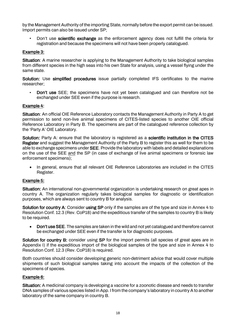by the Management Authority of the importing State, normally before the export permit can be issued. Import permits can also be issued under SP;

• Don't use scientific exchange as the enforcement agency does not fulfill the criteria for registration and because the specimens will not have been properly catalogued.

## Example 3:

Situation: A marine researcher is applying to the Management Authority to take biological samples from different species in the high seas into his own State for analysis, using a vessel flying under the same state.

Solution: Use simplified procedures issue partially completed IFS certificates to the marine researcher;

• Don't use SEE; the specimens have not yet been catalogued and can therefore not be exchanged under SEE even if the purpose is research.

#### Example 4:

Situation: An official OIE Reference Laboratory contacts the Management Authority in Party A to get permission to send non-live animal specimens of CITES-listed species to another OIE official Reference Laboratory in Party B. The specimens are part of the catalogued reference collection by the 'Party A' OIE Laboratory.

Solution: Party A: ensure that the laboratory is registered as a scientific institution in the CITES Register and suggest the Management Authority of the Party B to register this as well for them to be able to exchange specimens under SEE. Provide the laboratory with labels and detailed explanations on the use of the SEE and the SP (in case of exchange of live animal specimens or forensic law enforcement specimens);

• In general, ensure that all relevant OIE Reference Laboratories are included in the CITES Register.

#### Example 5:

Situation: An international non-governmental organization is undertaking research on great apes in country A. The organization regularly takes biological samples for diagnostic or identification purposes, which are always sent to country B for analysis.

Solution for country A: Consider using SP only if the samples are of the type and size in Annex 4 to Resolution Conf. 12.3 (Rev. CoP18) and the expeditious transfer of the samples to country B is likely to be required.

• Don't use SEE. The samples are taken in the wild and not yet catalogued and therefore cannot be exchanged under SEE even if the transfer is for diagnostic purposes.

Solution for country B: consider using SP for the import permits (all species of great apes are in Appendix I) if the expeditious import of the biological samples of the type and size in Annex 4 to Resolution Conf. 12.3 (Rev. CoP18) is required.

Both countries should consider developing generic non-detriment advice that would cover multiple shipments of such biological samples taking into account the impacts of the collection of the specimens of species.

#### Example 6:

Situation: A medicinal company is developing a vaccine for a zoonotic disease and needs to transfer DNA samples of various species listed in App. I from the company's laboratory in country A to another laboratory of the same company in country B.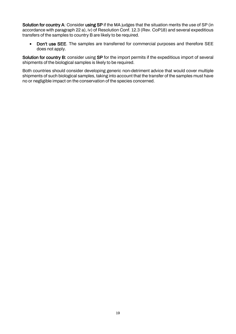Solution for country A: Consider using SP if the MA judges that the situation merits the use of SP (in accordance with paragraph 22 a), iv) of Resolution Conf. 12.3 (Rev. CoP18) and several expeditious transfers of the samples to country B are likely to be required.

• Don't use SEE. The samples are transferred for commercial purposes and therefore SEE does not apply.

Solution for country B: consider using SP for the import permits if the expeditious import of several shipments of the biological samples is likely to be required.

Both countries should consider developing generic non-detriment advice that would cover multiple shipments of such biological samples, taking into account that the transfer of the samples must have no or negligible impact on the conservation of the species concerned.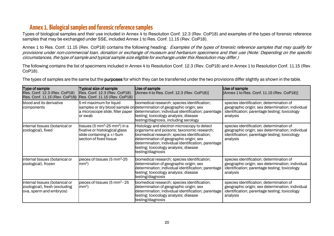# **Annex 1. Biological samplesand forensic reference samples**

Types of biological samples and their use included in Annex 4 to Resolution Conf. 12.3 (Rev. CoP18) and examples of the types of forensic reference samples that may be exchanged under SSE, included Annex 1 to Res. Conf. 11.15 (Rev. CoP18).

Annex 1 to Res. Conf. 11.15 (Rev. CoP18) contains the following heading: Examples of the types of forensic reference samples that may qualify for provisions under non-commercial loan, donation or exchange of museum and herbarium specimens and their use (Note: Depending on the specific circumstances, the type of sample and typical sample size eligible for exchange under this Resolution may differ.)

The following contains the list of specimens included in Annex 4 to Resolution Conf. 12.3 (Rev. CoP18) and in Annex 1 to Resolution Conf. 11.15 (Rev. CoP18).

The types of samples are the same but the **purposes** for which they can be transferred under the two provisions differ slightly as shown in the table.

<span id="page-19-0"></span>

| Type of sample<br>Res. Conf. 12.3 (Rev. CoP18)<br>Res. Conf. 11.15 (Rev. CoP18)            | <b>Typical size of sample</b><br>Res. Conf. 12.3 (Rev. CoP18)<br>Res. Conf. 11.15 (Rev. CoP18)                                  | Use of sample<br>$[$ Annex 4 to Res. Conf. 12.3 (Rev. CoP18) $]$                                                                                                                                                                                                                                          | Use of sample<br>[Annex 1 to Res. Conf. $11.15$ (Rev. CoP18)]                                                                                             |
|--------------------------------------------------------------------------------------------|---------------------------------------------------------------------------------------------------------------------------------|-----------------------------------------------------------------------------------------------------------------------------------------------------------------------------------------------------------------------------------------------------------------------------------------------------------|-----------------------------------------------------------------------------------------------------------------------------------------------------------|
| blood and its derivative<br>components                                                     | 5 ml maximum for liquid<br>a microscope slide, filter paper<br>or swab                                                          | biomedical research; species identification;<br>samples or dry blood sample on determination of geographic origin; sex<br>determination; individual identification; parentage<br>testing; toxicology analysis; disease<br>testing/diagnosis, including serology                                           | species identification; determination of<br>geographic origin; sex determination; individual<br>identification; parentage testing; toxicology<br>analysis |
| internal tissues (botanical or<br>zoological), fixed                                       | tissues (5 mm $^3$ -25 mm $^3$ ) in a<br>fixative or histological glass<br>slide containing a +/-5um<br>section of fixed tissue | Histology and electron microscopy to detect<br>organisms and poisons; taxonomic research;<br>biomedical research; species identification;<br>determination of geographic origin; sex<br>determination; individual identification; parentage<br>testing; toxicology analysis; disease<br>testing/diagnosis | species identification; determination of<br>geographic origin; sex determination; individual<br>identification; parentage testing; toxicology<br>analysis |
| internal tissues (botanical or<br>zoological), frozen                                      | pieces of tissues (5 mm <sup>3</sup> -25<br>mm <sup>3</sup>                                                                     | biomedical research; species identification;<br>determination of geographic origin; sex<br>determination; individual identification; parentage<br>testing; toxicology analysis; disease<br>testing/diagnosis                                                                                              | species identification; determination of<br>geographic origin; sex determination; individual<br>identification; parentage testing; toxicology<br>analysis |
| internal tissues (botanical or<br>zoological), fresh (excluding<br>ova, sperm and embryos) | pieces of tissues (5 mm <sup>3</sup> - 25<br>mm <sup>3</sup>                                                                    | biomedical research; species identification;<br>determination of geographic origin; sex<br>determination; individual identification; parentage<br>testing; toxicology analysis; disease<br>testing/diagnosis                                                                                              | species identification; determination of<br>geographic origin; sex determination; individual<br>identification; parentage testing; toxicology<br>analysis |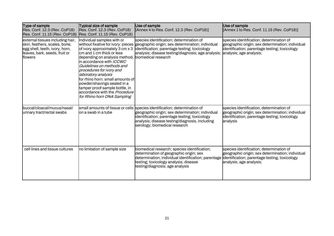| Type of sample<br>Res. Conf. 12.3 (Rev. CoP18)<br>Res. Conf. 11.15 (Rev. CoP18)                                                                 | <b>Typical size of sample</b><br>Res. Conf. 12.3 (Rev. CoP18)<br>Res. Conf. 11.15 (Rev. CoP18)                                                                                                                                                                                                                                                                                                               | Use of sample<br>[Annex 4 to Res. Conf. 12.3 (Rev. CoP18)]                                                                                                                                                                                                                            | Use of sample<br>[Annex 1 to Res. Conf. 11.15 (Rev. CoP18)]                                                                                               |
|-------------------------------------------------------------------------------------------------------------------------------------------------|--------------------------------------------------------------------------------------------------------------------------------------------------------------------------------------------------------------------------------------------------------------------------------------------------------------------------------------------------------------------------------------------------------------|---------------------------------------------------------------------------------------------------------------------------------------------------------------------------------------------------------------------------------------------------------------------------------------|-----------------------------------------------------------------------------------------------------------------------------------------------------------|
| external tissues including hair,<br>skin, feathers, scales, bone,<br>egg shell, teeth, ivory, horn,<br>leaves, bark, seeds, fruit or<br>flowers | Individual samples with or<br>of ivory approximately 3 cm x 3<br>cm and 1 cm thick or less<br>depending on analysis method,<br>in accordance with ICCWC<br>Guidelines on methods and<br>procedures for ivory and<br>laboratory analysis<br>for rhino horn: small amounts of<br>powder/shavings sealed in a<br>tamper proof sample bottle, in<br>accordance with the Procedure<br>for Rhino horn DNA Sampling | species identification; determination of<br>without fixative for ivory: pieces geographic origin; sex determination; individual<br>identification; parentage testing; toxicology<br>analysis; disease testing/diagnosis; age analysis; analysis; age analysis;<br>biomedical research | species identification; determination of<br>geographic origin; sex determination; individual<br>identification; parentage testing; toxicology             |
| buccal/cloacal/mucus/nasal/<br>urinary tract/rectal swabs                                                                                       | on a swab in a tube                                                                                                                                                                                                                                                                                                                                                                                          | small amounts of tissue or cells species identification; determination of<br>geographic origin; sex determination; individual<br>identification; parentage testing; toxicology<br>analysis; disease testing/diagnosis, including<br>serology; biomedical research                     | species identification; determination of<br>geographic origin; sex determination; individual<br>identification; parentage testing; toxicology<br>analysis |
| cell lines and tissue cultures                                                                                                                  | no limitation of sample size                                                                                                                                                                                                                                                                                                                                                                                 | biomedical research; species identification;<br>determination of geographic origin; sex<br>determination; individual identification; parentage identification; parentage testing; toxicology<br>testing; toxicology analysis; disease<br>testing/diagnosis; age analysis              | species identification; determination of<br>geographic origin; sex determination; individual<br>analysis, age analysis,                                   |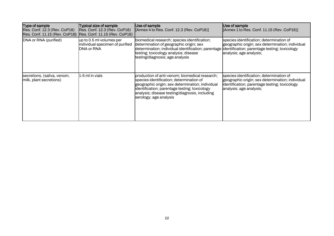| Type of sample<br>Res. Conf. 12.3 (Rev. CoP18)<br>Res. Conf. 11.15 (Rev. CoP18) | <b>Typical size of sample</b><br>Res. Conf. 12.3 (Rev. CoP18)<br>Res. Conf. 11.15 (Rev. CoP18) | Use of sample<br>[Annex 4 to Res. Conf. 12.3 (Rev. CoP18)]                                                                                                                                                                                                                  | Use of sample<br>$[$ Annex 1 to Res. Conf. 11.15 (Rev. CoP18)]                                                                                                           |
|---------------------------------------------------------------------------------|------------------------------------------------------------------------------------------------|-----------------------------------------------------------------------------------------------------------------------------------------------------------------------------------------------------------------------------------------------------------------------------|--------------------------------------------------------------------------------------------------------------------------------------------------------------------------|
| DNA or RNA (purified)                                                           | up to 0.5 ml volumes per<br>individual specimen of purified<br>DNA or RNA                      | biomedical research; species identification;<br>determination of geographic origin; sex<br>determination; individual identification; parentage  identification; parentage testing; toxicology<br>testing; toxicology analysis; disease<br>testing/diagnosis; age analysis   | species identification; determination of<br>geographic origin; sex determination; individual<br>analysis; age analysis;                                                  |
| secretions, (saliva, venom,<br>milk, plant secretions)                          | 1-5 ml in vials                                                                                | production of anti-venom; biomedical research;<br>species identification; determination of<br>geographic origin; sex determination; individual<br>identification; parentage testing; toxicology<br>analysis; disease testing/diagnosis, including<br>serology; age analysis | species identification; determination of<br>geographic origin; sex determination; individual<br>identification; parentage testing; toxicology<br>analysis; age analysis; |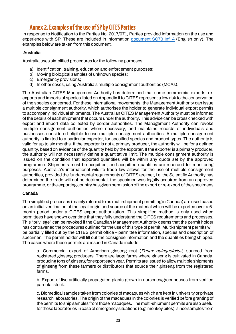# <span id="page-22-0"></span>**Annex 2. Examples of the use of SP by CITES Parties**

In response to Notification to the Parties No. 2017/071, Parties provided information on the use and experience with SP. These are included in information [document SC70 Inf. 4](https://cites.org/sites/default/files/eng/com/sc/70/Inf/E-SC70-Inf-04.pdf) (English only). The examples below are taken from this document.

#### Australia

Australia uses simplified procedures for the following purposes:

- a) Identification, training, education and enforcement purposes;
- b) Moving biological samples of unknown species;
- c) Emergency provisions;
- d) In other cases, using Australia's multiple consignment authorities (MCAs).

The Australian CITES Management Authority has determined that some commercial exports, reexports and imports of species listed on Appendix II to CITES represent a low risk to the conservation of the species concerned. For these international movements, the Management Authority can issue a multiple consignment authority, which authorises the holder to generate individual export permits to accompany individual shipments. The Australian CITES Management Authority must be informed of the details of each shipment that occurs under the authority. This advice can be cross checked with export and import data collected by border authorities. The Management Authority can revoke multiple consignment authorities where necessary, and maintains records of individuals and businesses considered eligible to use multiple consignment authorities. A multiple consignment authority is limited to a particular exporter, for specified species and product types. The authority is valid for up to six months. If the exporter is not a primary producer, the authority will be for a defined quantity, based on evidence of the quantity held by the exporter. If the exporter is a primary producer, the authority will not necessarily define a quantitative limit. The multiple consignment authority is issued on the condition that exported quantities will be within any quota set by the approved programme. Shipments must be acquitted, and acquitted quantities are recorded for monitoring purposes. Australia's international wildlife trade law allows for the use of multiple consignment authorities, provided the fundamental requirements of CITES are met, i.e. the Scientific Authority has determined the trade will not be detrimental, the specimen was legally acquired from an approved programme, or the exporting country has given permission of the export or re-export of the specimens.

#### Canada

The simplified processes (mainly referred to as multi-shipment permitting in Canada) are used based on an initial verification of the legal origin and source of the material which will be exported over a 6 month period under a CITES export authorization. This simplified method is only used when permittees have shown over time that they fully understand the CITES requirements and processes. This "privilege" can be revoked if the Canadian Management Authority deems that the permit holder has contravened the procedures outlined for the use of this type of permit. Multi-shipment permits will be partially filled out by the CITES permit office – permittee information, species and description of specimen. The permit holder will fill out the consignee information and the quantities being shipped. The cases where these permits are issued in Canada include:

a. Commercial export of American ginseng root (Panax quinquefolius) sourced from registered ginseng producers. There are large farms where ginseng is cultivated in Canada, producing tons of ginseng for export each year. Permits are issued to allow multiple shipments of ginseng from these farmers or distributors that source their ginseng from the registered farms.

b. Export of live artificially propagated plants grown in nurseries/greenhouses from verified parental stock.

c. Biomedical samples taken from colonies of macaques which are kept in university or private research laboratories. The origin of the macaques in the colonies is verified before granting of the permits to ship samples from those macaques. The multi-shipment permits are also useful for these laboratories in case of emergency situations (e.g. monkey bites), since samples from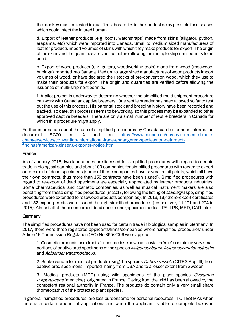the monkey must be tested in qualified laboratories in the shortest delay possible for diseases which could infect the injured human.

d. Export of leather products (e.g. boots, watchstraps) made from skins (alligator, python, arapaima, etc) which were imported into Canada. Small to medium sized manufacturers of leather products import volumes of skins with which they make products for export. The origin of the skins and the quantities are verified before allowing the multiple shipment permits to be used.

e. Export of wood products (e.g. guitars, woodworking tools) made from wood (rosewood, bubinga) imported into Canada. Medium to large sized manufactures of wood products import volumes of wood, or have declared their stocks of pre-convention wood, which they use to make their products for export. The origin and quantities are verified before allowing the issuance of multi-shipment permits.

f. A pilot project is underway to determine whether the simplified multi-shipment procedure can work with Canadian captive breeders. One reptile breeder has been allowed so far to test out the use of this process. His parental stock and breeding history have been recorded and tracked. To date, this process seems to be working, so this process may be expanded to other approved captive breeders. There are only a small number of reptile breeders in Canada for which this procedure might apply.

Further information about the use of simplified procedures by Canada can be found in information document SC70 Inf. 4 and on [https://www.canada.ca/en/environment-climate](https://www.canada.ca/en/environment-climate-change/services/convention-international-trade-endangered-species/non-detriment-findings/american-ginseng-exporter-notice.)[change/services/convention-international-trade-endangered-species/non-detriment](https://www.canada.ca/en/environment-climate-change/services/convention-international-trade-endangered-species/non-detriment-findings/american-ginseng-exporter-notice.)[findings/american-ginseng-exporter-notice.](https://www.canada.ca/en/environment-climate-change/services/convention-international-trade-endangered-species/non-detriment-findings/american-ginseng-exporter-notice.)[html](https://www.canada.ca/en/environment-climate-change/services/convention-international-trade-endangered-species/non-detriment-findings/american-ginseng-exporter-notice.html)

#### France

As of January 2018, two laboratories are licensed for simplified procedures with regard to certain trade in biological samples and about 100 companies for simplified procedures with regard to export or re-export of dead specimens (some of those companies have several retail points, which all have their own contracts, thus more than 150 contracts have been signed). Simplified procedures with regard to re-export of dead specimens are especially appreciated by leather products industries. Some pharmaceutical and cosmetic companies, as well as musical instrument makers are also benefiting from these simplified procedures (in 2017, following the listing of *Dalbergia* spp, simplified procedures were extended to rosewood products companies). In 2016, 16,423 re-export certificates and 152 export permits were issued through simplified procedures (respectively 11,171 and 204 in 2015). Almost all of them concerned dead specimens (specimen codes LPS, LPS, MED, CAR, etc)

#### Germany

The simplified procedures have not been used for certain trade in biological samples in Germany. In 2017, there were three registered applicants/firms/companies where 'simplified procedures' under Article 19 Commission Regulation (EC) No 865/2006 were applied:

1. Cosmetic products or extracts for cosmetics known as 'caviar crème' containing very small portions of captive bred specimens of the species Acipenser baerii, Acipenser gneldenstaedtii and Acipenser transmontanus.

2. Snake venom for medical products using the species *Daboia russelii* (CITES App. III) from captive bred specimens, imported mainly from USA and to a lesser extent from Sweden.

3. Medical products (MED) using wild specimens of the plant species *Cyclamen* purpurascens (medicine), originated in France. Taking from the wild has been allowed by the competent regional authority in France. The products do contain only a very small share (homeopathy) of the protected plant species.

In general, 'simplified procedures' are less burdensome for personal resources in CITES MAs when there is a certain amount of applications and when the applicant is able to complete boxes in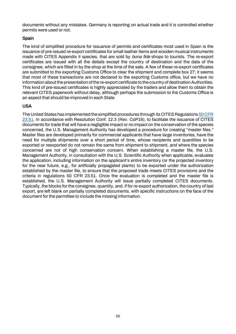documents without any mistakes. Germany is reporting on actual trade and it is controlled whether permits were used or not.

## Spain

The kind of simplified procedure for issuance of permits and certificates most used in Spain is the issuance of pre-issued re-export certificates for small leather items and wooden musical instruments made with CITES Appendix II species, that are sold by *bona fide* shops to tourists. The re-export certificates are issued with all the details except the country of destination and the data of the consignee, which are filled in by the shop at the time of the sale. A few of these re-export certificates are submitted to the exporting Customs Office to clear the shipment and complete box 27; it seems that most of these transactions are not declared to the exporting Customs office, but we have no information about the presentation of the re-export certificate to the country of destination Authorities. This kind of pre-issued certificates is highly appreciated by the traders and allow them to obtain the relevant CITES paperwork without delay, although perhaps the submission to the Customs Office is an aspect that should be improved in each State.

## USA

The United States has implemented the simplified procedures through its CITES Regulation[s 50 CFR](https://www.ecfr.gov/cgi-bin/text-idx?SID=e574cb26c20b9432044501ab76b9b2c8&mc=true&node=se50.9.23_151&rgn=div8)  [23.51.](https://www.ecfr.gov/cgi-bin/text-idx?SID=e574cb26c20b9432044501ab76b9b2c8&mc=true&node=se50.9.23_151&rgn=div8) In accordance with Resolution Conf. 12.3 (Rev. CoP18), to facilitate the issuance of CITES documents for trade that will have a negligible impact or no impact on the conservation of the species concerned, the U.S. Management Authority has developed a procedure for creating "master files." Master files are developed primarily for commercial applicants that have large inventories, have the need for multiple shipments over a short period of time, whose recipients and quantities to be exported or reexported do not remain the same from shipment to shipment, and where the species concerned are not of high conservation concern. When establishing a master file, the U.S. Management Authority, in consultation with the U.S. Scientific Authority when applicable, evaluates the application, including information on the applicant's entire inventory (or the projected inventory for the near future, e.g., for artificially propagated plants) to be exported under the authorization established by the master file, to ensure that the proposed trade meets CITES provisions and the criteria in regulations 50 CFR 23.51. Once the evaluation is completed and the master file is established, the U.S. Management Authority will issue partially completed CITES documents. Typically, the blocks for the consignee, quantity, and, if for re-export authorization, the country of last export, are left blank on partially completed documents, with specific instructions on the face of the document for the permittee to include the missing information.